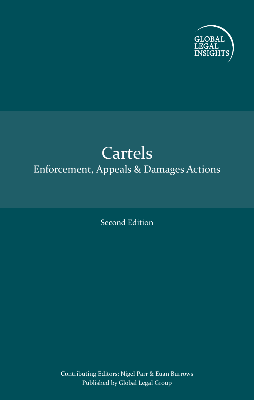

## Cartels Enforcement, Appeals & Damages Actions

Second Edition

Contributing Editors: Nigel Parr & Euan Burrows Published by Global Legal Group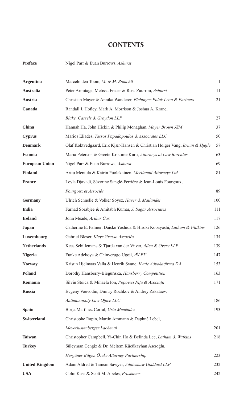## **CONTENTS**

**Preface** Nigel Parr & Euan Burrows, *Ashurst*

| <b>Argentina</b>      | Marcelo den Toom, M. & M. Bomchil                                           | $\mathbf{1}$ |  |
|-----------------------|-----------------------------------------------------------------------------|--------------|--|
| Australia             | Peter Armitage, Melissa Fraser & Ross Zaurrini, Ashurst                     |              |  |
| Austria               | Christian Mayer & Annika Wanderer, Fiebinger Polak Leon & Partners          |              |  |
| Canada                | Randall J. Hofley, Mark A. Morrison & Joshua A. Krane,                      |              |  |
|                       | Blake, Cassels & Graydon LLP                                                | 27           |  |
| China                 | Hannah Ha, John Hickin & Philip Monaghan, Mayer Brown JSM                   | 37           |  |
| <b>Cyprus</b>         | Marios Eliades, Tassos Papadopoulos & Associates LLC                        | 50           |  |
| <b>Denmark</b>        | Olaf Koktvedgaard, Erik Kjær-Hansen & Christian Holger Vang, Bruun & Hjejle |              |  |
| <b>Estonia</b>        | Maria Peterson & Greete-Kristiine Kuru, Attorneys at Law Borenius           | 63           |  |
| <b>European Union</b> | Nigel Parr & Euan Burrows, Ashurst                                          | 69           |  |
| Finland               | Arttu Mentula & Katrin Puolakainen, Merilampi Attorneys Ltd.                | 81           |  |
| <b>France</b>         | Leyla Djavadi, Séverine Sanglé-Ferrière & Jean-Louis Fourgoux,              |              |  |
|                       | <i>Fourgoux et Associés</i>                                                 | 89           |  |
| <b>Germany</b>        | Ulrich Schnelle & Volker Soyez, Haver & Mailänder                           | 100          |  |
| India                 | Farhad Sorabjee & Amitabh Kumar, J. Sagar Associates                        | 111          |  |
| <b>Ireland</b>        | John Meade, Arthur Cox                                                      | 117          |  |
| Japan                 | Catherine E. Palmer, Daiske Yoshida & Hiroki Kobayashi, Latham & Watkins    | 126          |  |
| Luxembourg            | Gabriel Bleser, Kleyr Grasso Associés                                       | 134          |  |
| <b>Netherlands</b>    | Kees Schillemans & Tjarda van der Vijver, Allen & Overy LLP                 | 139          |  |
| <b>Nigeria</b>        | Funke Adekoya & Chinyerugo Ugoji, ÆLEX                                      | 147          |  |
| <b>Norway</b>         | Kristin Hjelmaas Valla & Henrik Svane, Kvale Advokatfirma DA                | 153          |  |
| <b>Poland</b>         | Dorothy Hansberry-Bieguńska, <i>Hansberry Competition</i>                   | 163          |  |
| Romania               | Silviu Stoica & Mihaela Ion, Popovici Nițu & Asociații                      | 171          |  |
| <b>Russia</b>         | Evgeny Voevodin, Dmitry Rozhkov & Andrey Zakataev,                          |              |  |
|                       | Antimonopoly Law Office LLC                                                 | 186          |  |
| <b>Spain</b>          | Borja Martínez Corral, Uría Menéndez                                        | 193          |  |
| <b>Switzerland</b>    | Christophe Rapin, Martin Ammann & Daphné Lebel,                             |              |  |
|                       | Meyerlustenberger Lachenal                                                  | 201          |  |
| <b>Taiwan</b>         | Christopher Campbell, Yi-Chin Ho & Belinda Lee, Latham & Watkins            | 218          |  |
| <b>Turkey</b>         | Süleyman Cengiz & Dr. Meltem Küçükayhan Ascıoğlu,                           |              |  |
|                       | Hergüner Bilgen Özeke Attorney Partnership                                  | 223          |  |
| <b>United Kingdom</b> | Adam Aldred & Tamsin Sawyer, Addleshaw Goddard LLP                          | 232          |  |
| <b>USA</b>            | Colin Kass & Scott M. Abeles, Proskauer                                     | 242          |  |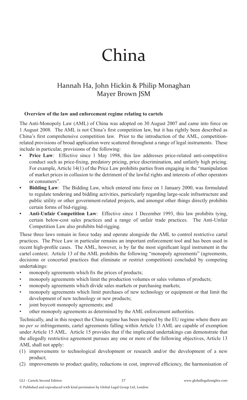# China

## Hannah Ha, John Hickin & Philip Monaghan Mayer Brown JSM

#### **Overview of the law and enforcement regime relating to cartels**

The Anti-Monopoly Law (AML) of China was adopted on 30 August 2007 and came into force on 1 August 2008. The AML is not China's first competition law, but it has rightly been described as China's first comprehensive competition law. Prior to the introduction of the AML, competitionrelated provisions of broad application were scattered throughout a range of legal instruments. These include in particular, provisions of the following:

- **Price Law**: Effective since 1 May 1998, this law addresses price-related anti-competitive conduct such as price-fixing, predatory pricing, price discrimination, and unfairly high pricing. For example, Article 14(1) of the Price Law prohibits parties from engaging in the "manipulation of market prices in collusion to the detriment of the lawful rights and interests of other operators or consumers".
- **Bidding Law**: The Bidding Law, which entered into force on 1 January 2000, was formulated to regulate tendering and bidding activities, particularly regarding large-scale infrastructure and public utility or other government-related projects, and amongst other things directly prohibits certain forms of bid-rigging.
- **Anti-Unfair Competition Law**:Effective since 1 December 1993, this law prohibits tying, certain below-cost sales practices and a range of unfair trade practices. The Anti-Unfair Competition Law also prohibits bid-rigging.

These three laws remain in force today and operate alongside the AML to control restrictive cartel practices. The Price Law in particular remains an important enforcement tool and has been used in recent high-profile cases. The AML, however, is by far the most significant legal instrument in the cartel context. Article 13 of the AML prohibits the following "monopoly agreements" (agreements, decisions or concerted practices that eliminate or restrict competition) concluded by competing undertakings:

- monopoly agreements which fix the prices of products;
- monopoly agreements which limit the production volumes or sales volumes of products;
- monopoly agreements which divide sales markets or purchasing markets;
- monopoly agreements which limit purchases of new technology or equipment or that limit the development of new technology or new products;
- joint boycott monopoly agreements; and
- other monopoly agreements as determined by the AML enforcement authorities.

Technically, and in this respect the China regime has been inspired by the EU regime where there are no *per se* infringements, cartel agreements falling within Article 13 AML are capable of exemption under Article 15 AML. Article 15 provides that if the implicated undertakings can demonstrate that the allegedly restrictive agreement pursues any one or more of the following objectives, Article 13 AML shall not apply:

- (1) improvements to technological development or research and/or the development of a new product;
- (2) improvements to product quality, reductions in cost, improved efficiency, the harmonisation of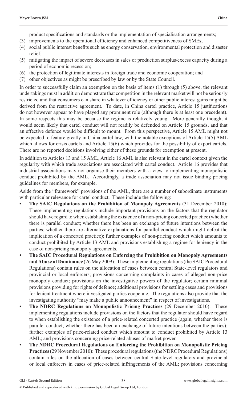product specifications and standards or the implementation of specialisation arrangements;

- (3) improvements to the operational efficiency and enhanced competitiveness of SMEs;
- (4) social public interest benefits such as energy conservation, environmental protection and disaster relief;
- (5) mitigating the impact of severe decreases in sales or production surplus/excess capacity during a period of economic recession;
- (6) the protection of legitimate interests in foreign trade and economic cooperation; and
- (7) other objectives as might be prescribed by law or by the State Council.

In order to successfully claim an exemption on the basis of items (1) through (5) above, the relevant undertakings must in addition demonstrate that competition in the relevant market will not be seriously restricted and that consumers can share in whatever efficiency or other public interest gains might be derived from the restrictive agreement. To date, in China cartel practice, Article 15 justifications do not however appear to have played any prominent role (although there is at least one precedent). In some respects this may be because the regime is relatively young. More generally though, it would seem likely that cartel conduct will not readily be defended on Article 15 grounds, and that an effective defence would be difficult to mount. From this perspective, Article 15 AML might not be expected to feature greatly in China cartel law, with the notable exceptions of Article 15(5) AML which allows for crisis cartels and Article 15(6) which provides for the possibility of export cartels. There are no reported decisions involving either of these grounds for exemption at present.

In addition to Articles 13 and 15 AML, Article 16 AML is also relevant in the cartel context given the regularity with which trade associations are associated with cartel conduct. Article 16 provides that industrial associations may not organise their members with a view to implementing monopolistic conduct prohibited by the AML. Accordingly, a trade association may not issue binding pricing guidelines for members, for example.

Aside from the "framework" provisions of the AML, there are a number of subordinate instruments with particular relevance for cartel conduct. These include the following:

- **The SAIC Regulations on the Prohibition of Monopoly Agreements** (31 December 2010): These implementing regulations include important provisions on the factors that the regulator should have regard to when establishing the existence of a non-pricing concerted practice (whether there is parallel conduct; whether there has been an exchange of future intentions between the parties; whether there are alternative explanations for parallel conduct which might defeat the implication of a concerted practice); further examples of non-pricing conduct which amounts to conduct prohibited by Article 13 AML and provisions establishing a regime for leniency in the case of non-pricing monopoly agreements.
- **The SAIC Procedural Regulations on Enforcing the Prohibition on Monopoly Agreements and Abuse of Dominance** (26 May 2009): These implementing regulations (the SAIC Procedural Regulations) contain rules on the allocation of cases between central State-level regulators and provincial or local enforcers; provisions concerning complaints in cases of alleged non-price monopoly conduct; provisions on the investigative powers of the regulator; certain minimal provisions providing for rights of defence; additional provisions for settling cases and provisions for lenient treatment where investigated parties cooperate. The regulations also provide that the investigating authority "may make a public announcement" in respect of investigations.
- **The NDRC Regulations on Monopolistic Pricing Practices** (29 December 2010): These implementing regulations include provisions on the factors that the regulator should have regard to when establishing the existence of a price-related concerted practice (again, whether there is parallel conduct; whether there has been an exchange of future intentions between the parties); further examples of price-related conduct which amount to conduct prohibited by Article 13 AML; and provisions concerning price-related abuses of market power.
- **The NDRC Procedural Regulations on Enforcing the Prohibition on Monopolistic Pricing Practices** (29 November 2010): These procedural regulations (the NDRC Procedural Regulations) contain rules on the allocation of cases between central State-level regulators and provincial or local enforcers in cases of price-related infringements of the AML; provisions concerning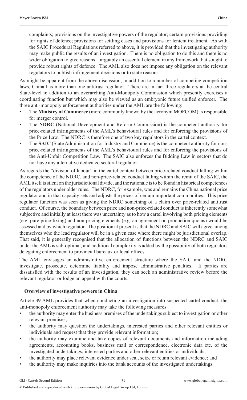complaints; provisions on the investigative powers of the regulator; certain provisions providing for rights of defence; provisions for settling cases and provisions for lenient treatment. As with the SAIC Procedural Regulations referred to above, it is provided that the investigating authority may make public the results of an investigation. There is no obligation to do this and there is no wider obligation to give reasons – arguably an essential element in any framework that sought to provide robust rights of defence. The AML also does not impose any obligation on the relevant regulators to publish infringement decisions or to state reasons.

As might be apparent from the above discussion, in addition to a number of competing competition laws, China has more than one antitrust regulator. There are in fact three regulators at the central State-level in addition to an overarching Anti-Monopoly Commission which presently exercises a coordinating function but which may also be viewed as an embryonic future unified enforcer. The three anti-monopoly enforcement authorities under the AML are the following:

- The **Ministry of Commerce** (more commonly known by the acronym MOFCOM) is responsible for merger control.
- The **NDRC** (National Development and Reform Commission) is the competent authority for price-related infringements of the AML's behavioural rules and for enforcing the provisions of the Price Law. The NDRC is therefore one of two key regulators in the cartel context.
- The **SAIC** (State Administration for Industry and Commerce) is the competent authority for nonprice-related infringements of the AML's behavioural rules and for enforcing the provisions of the Anti-Unfair Competition Law. The SAIC also enforces the Bidding Law in sectors that do not have any alternative dedicated sectoral regulator.

As regards the "division of labour" in the cartel context between price-related conduct falling within the competence of the NDRC, and non-price-related conduct falling within the remit of the SAIC, the AML itself is silent on the jurisdictional divide, and the rationale is to be found in historical competences of the regulators under older rules. The NDRC, for example, was and remains the China national price regulator and in that capacity sets and adjusts the prices of certain important commodities. This price regulator function was seen as giving the NDRC something of a claim over price-related antitrust conduct. Of course, the boundary between price and non-price-related conduct is inherently somewhat subjective and initially at least there was uncertainty as to how a cartel involving both pricing elements (e.g. pure price-fi xing) and non-pricing elements (e.g. an agreement on production quotas) would be assessed and by which regulator. The position at present is that the NDRC and SAIC will agree among themselves who the lead regulator will be in a given case where there might be jurisdictional overlap. That said, it is generally recognised that the allocation of functions between the NDRC and SAIC under the AML is sub-optimal, and additional complexity is added by the possibility of both regulators delegating enforcement to provincial bureaux or local offices.

The AML envisages an administrative enforcement structure where the SAIC and the NDRC investigate, prosecute, determine liability and impose administrative penalties. If parties are dissatisfied with the results of an investigation, they can seek an administrative review before the relevant regulator or lodge an appeal with the courts.

#### **Overview of investigative powers in China**

Article 39 AML provides that when conducting an investigation into suspected cartel conduct, the anti-monopoly enforcement authority may take the following measures:

- the authority may enter the business premises of the undertakings subject to investigation or other relevant premises;
- the authority may question the undertakings, interested parties and other relevant entities or individuals and request that they provide relevant information;
- the authority may examine and take copies of relevant documents and information including agreements, accounting books, business mail or correspondence, electronic data etc. of the investigated undertakings, interested parties and other relevant entities or individuals;
- the authority may place relevant evidence under seal, seize or retain relevant evidence; and
- the authority may make inquiries into the bank accounts of the investigated undertakings.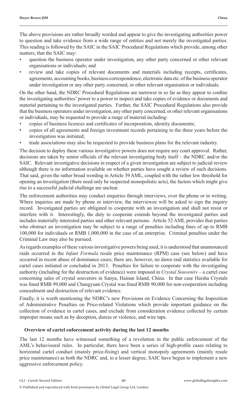The above provisions are rather broadly worded and appear to give the investigating authorities power to question and take evidence from a wide range of entities and not merely the investigated parties. This reading is followed by the SAIC in the SAIC Procedural Regulations which provide, among other matters, that the SAIC may:

- question the business operator under investigation, any other party concerned or other relevant organisations or individuals; and
- review and take copies of relevant documents and materials including receipts, certificates, agreements, accounting books, business correspondence, electronic data etc. of the business operator under investigation or any other party concerned, or other relevant organisation or individuals.

On the other hand, the NDRC Procedural Regulations are narrower in so far as they appear to confine the investigating authorities' power to a power to inspect and take copies of evidence or documents and material pertaining to the investigated parties. Further, the SAIC Procedural Regulations also provide that the business operators under investigation, any other party concerned, or other relevant organisations or individuals, may be requested to provide a range of material including:

- copies of business licences and certificates of incorporation, identity documents;
- copies of all agreements and foreign investment records pertaining to the three years before the investigation was initiated;
- trade associations may also be requested to provide business plans for the relevant industry.

The decision to deploy these various investigative powers does not require any court approval. Rather, decisions are taken by senior officials of the relevant investigating body itself – the NDRC and/or the SAIC. Relevant investigative decisions in respect of a given investigation are subject to judicial review although there is no information available on whether parties have sought a review of such decisions. That said, given the rather broad wording in Article 39 AML, coupled with the rather low threshold for opening an investigation (there need only be suspected monopolistic acts), the factors which might give rise to a successful judicial challenge are unclear.

The enforcement authorities may conduct enquiries through interviews, over the phone or in writing. Where inquiries are made by phone or interview, the interviewee will be asked to sign the inquiry record. Investigated parties are obligated to cooperate with an investigation and shall not resist or interfere with it. Interestingly, the duty to cooperate extends beyond the investigated parties and includes materially interested parties and other relevant persons. Article 52 AML provides that parties who obstruct an investigation may be subject to a range of penalties including fines of up to RMB 100,000 for individuals or RMB 1,000,000 in the case of an enterprise. Criminal penalties under the Criminal Law may also be pursued.

As regards examples of these various investigative powers being used, it is understood that unannounced raids occurred in the *Infant Formula* resale price maintenance (RPM) case (see below) and have occurred in recent abuse of dominance cases; there are, however, no dawn raid statistics available for cartel cases initiated or concluded in 2013. Penalties for failure to cooperate with the investigating authority (including for the destruction of evidence) were imposed in *Crystal Souvenirs* – a cartel case concerning sales of crystal souvenirs in Sanya, Hainan Island, China. In that case Haisha Crystals was fined RMB 99,000 and Changyuan Crystal was fined RMB 90,000 for non-cooperation including concealment and destruction of relevant evidence.

Finally, it is worth mentioning the NDRC's new Provisions on Evidence Concerning the Imposition of Administrative Penalties on Price-related Violations which provide important guidance on the collection of evidence in cartel cases, and exclude from consideration evidence collected by certain improper means such as by deception, duress or violence, and wire taps.

#### **Overview of cartel enforcement activity during the last 12 months**

The last 12 months have witnessed something of a revolution in the public enforcement of the AML's behavioural rules. In particular, there have been a series of high-profile cases relating to horizontal cartel conduct (mainly price-fixing) and vertical monopoly agreements (mainly resale price maintenance) as both the NDRC and, to a lesser degree, SAIC have begun to implement a new aggressive enforcement policy.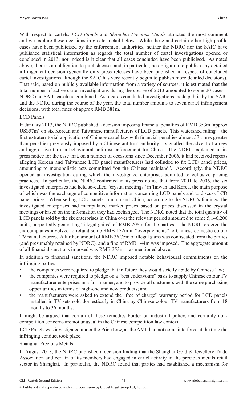With respect to cartels, *LCD Panels* and *Shanghai Precious Metals* attracted the most comment and we explore these decisions in greater detail below. While these and certain other high-profile cases have been publicised by the enforcement authorities, neither the NDRC nor the SAIC have published statistical information as regards the total number of cartel investigations opened or concluded in 2013, nor indeed is it clear that all cases concluded have been publicised. As noted above, there is no obligation to publish cases and, in particular, no obligation to publish any detailed infringement decision (generally only press releases have been published in respect of concluded cartel investigations although the SAIC has very recently begun to publish more detailed decisions). That said, based on publicly available information from a variety of sources, it is estimated that the total number of active cartel investigations during the course of 2013 amounted to some 20 cases – NDRC and SAIC caseload combined. As regards concluded investigations made public by the SAIC and the NDRC during the course of the year, the total number amounts to seven cartel infringement decisions, with total fines of approx RMB 381m.

#### LCD Panels

In January 2013, the NDRC published a decision imposing financial penalties of RMB 353m (approx US\$57m) on six Korean and Taiwanese manufacturers of LCD panels. This watershed ruling – the first extraterritorial application of Chinese cartel law with financial penalties almost 57 times greater than penalties previously imposed by a Chinese antitrust authority – signalled the advent of a new and aggressive turn in behavioural antitrust enforcement for China. The NDRC explained in its press notice for the case that, on a number of occasions since December 2006, it had received reports alleging Korean and Taiwanese LCD panel manufacturers had colluded to fix LCD panel prices, amounting to monopolistic acts committed "on the Chinese mainland". Accordingly, the NDRC opened an investigation during which the investigated enterprises admitted to collusive pricing practices. In particular, the NDRC confirmed in its press notice that from 2001 to 2006, the six investigated enterprises had held so-called "crystal meetings" in Taiwan and Korea, the main purpose of which was the exchange of competitive information concerning LCD panels and to discuss LCD panel prices. When selling LCD panels in mainland China, according to the NDRC's findings, the investigated enterprises had manipulated market prices based on prices discussed in the crystal meetings or based on the information they had exchanged. The NDRC noted that the total quantity of LCD panels sold by the six enterprises in China over the relevant period amounted to some 5,146,200 units, purportedly generating "illegal gains" of RMB 208m for the parties. The NDRC ordered the six companies involved to refund some RMB 172m in "overpayments" to Chinese domestic colour TV manufacturers. A further amount of RMB 36.75m of illegal gains was confiscated from the parties (and presumably retained by NDRC), and a fine of RMB 144m was imposed. The aggregate amount of all financial sanctions imposed was RMB 353m − as mentioned above.

In addition to financial sanctions, the NDRC imposed notable behavioural commitments on the infringing parties:

- the companies were required to pledge that in future they would strictly abide by Chinese law;
- the companies were required to pledge on a "best endeavours" basis to supply Chinese colour TV manufacturer enterprises in a fair manner, and to provide all customers with the same purchasing opportunities in terms of high-end and new products; and
- the manufacturers were asked to extend the "free of charge" warranty period for LCD panels installed in TV sets sold domestically in China by Chinese colour TV manufacturers from 18 months to 36 months.

It might be argued that certain of these remedies border on industrial policy, and certainly noncompetition concerns are not unusual in the Chinese competition law context.

LCD Panels was investigated under the Price Law, as the AML had not come into force at the time the infringing conduct took place.

#### Shanghai Precious Metals

In August 2013, the NDRC published a decision finding that the Shanghai Gold & Jewellery Trade Association and certain of its members had engaged in cartel activity in the precious metals retail sector in Shanghai. In particular, the NDRC found that parties had established a mechanism for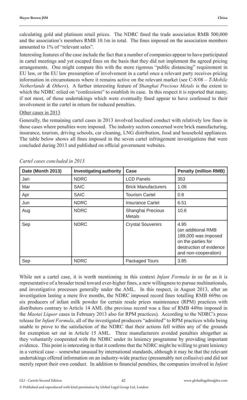calculating gold and platinum retail prices. The NDRC fined the trade association RMB 500,000 and the association's members RMB 10.1m in total. The fines imposed on the association members amounted to 1% of "relevant sales".

Interesting features of the case include the fact that a number of companies appear to have participated in cartel meetings and yet escaped fines on the basis that they did not implement the agreed pricing arrangements. One might compare this with the more rigorous "public distancing" requirement in EU law, or the EU law presumption of involvement in a cartel once a relevant party receives pricing information in circumstances where it remains active on the relevant market (see C-8/08 – *T-Mobile Netherlands & Others*). A further interesting feature of *Shanghai Precious Metals* is the extent to which the NDRC relied on "confessions" to establish its case. In this respect it is reported that many, if not most, of those undertakings which were eventually fined appear to have confessed to their involvement in the cartel in return for reduced penalties.

#### Other cases in 2013

Generally, the remaining cartel cases in 2013 involved localised conduct with relatively low fines in those cases where penalties were imposed. The industry sectors concerned were brick manufacturing, insurance, tourism, driving schools, car cleaning, LNG distribution, food and household appliances. The table below shows all fines imposed in the seven cartel infringement investigations that were concluded during 2013 and published on official government websites.

| Date (Month 2013) | Investigating authority | Case                        | <b>Penalty (million RMB)</b>                                                                                               |
|-------------------|-------------------------|-----------------------------|----------------------------------------------------------------------------------------------------------------------------|
| Jan               | <b>NDRC</b>             | <b>LCD Panels</b>           | 353                                                                                                                        |
| Mar               | <b>SAIC</b>             | <b>Brick Manufacturers</b>  | 1.06                                                                                                                       |
| Apr               | <b>SAIC</b>             | <b>Tourism Cartel</b>       | 0.8                                                                                                                        |
| Jun               | <b>NDRC</b>             | Insurance Cartel            | 6.51                                                                                                                       |
| Aug               | <b>NDRC</b>             | Shanghai Precious<br>Metals | 10.6                                                                                                                       |
| Sep               | <b>NDRC</b>             | <b>Crystal Souvenirs</b>    | 4.95<br>(an additional RMB<br>189,000 was imposed<br>on the parties for<br>destruction of evidence<br>and non-cooperation) |
| Sep               | <b>NDRC</b>             | Packaged Tours              | 3.85                                                                                                                       |

*Cartel cases concluded in 2013*

While not a cartel case, it is worth mentioning in this context *Infant Formula* in so far as it is representative of a broader trend toward ever-higher fines, a new willingness to pursue multinationals, and investigative processes generally under the AML.In this respect, in August 2013, after an investigation lasting a mere five months, the NDRC imposed record fines totalling RMB 669m on six producers of infant milk powder for certain resale prices maintenance (RPM) practices with distributors contrary to Article 14 AML (the previous record was a fine of RMB 449m imposed in the *Maotai Liquor* cases in February 2013 also for RPM practices). According to the NDRC's press release for *Infant Formula*, all of the investigated producers "admitted" to RPM practices while being unable to prove to the satisfaction of the NDRC that their actions fell within any of the grounds for exemption set out in Article 15 AML. Three manufacturers avoided penalties altogether as they voluntarily cooperated with the NDRC under its leniency programme by providing important evidence. This point is interesting in that it confirms that the NDRC might be willing to grant leniency in a vertical case – somewhat unusual by international standards, although it may be that the relevant undertakings offered information on an industry-wide practice (presumably not collusive) and did not merely report their own conduct. In addition to financial penalties, the companies involved in *Infant*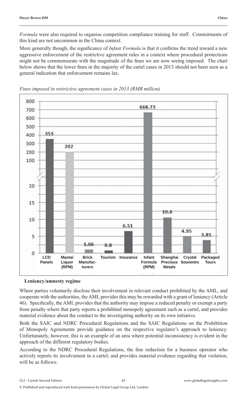*Formula* were also required to organise competition compliance training for staff. Commitments of this kind are not uncommon in the China context.

More generally though, the significance of *Infant Formula* is that it confirms the trend toward a new aggressive enforcement of the restrictive agreement rules in a context where procedural protections might not be commensurate with the magnitude of the fines we are now seeing imposed. The chart below shows that the lower fines in the majority of the cartel cases in 2013 should not been seen as a general indication that enforcement remains lax.



*Fines imposed in restrictive agreement cases in 2013 (RMB million)*

**Leniency/amnesty regime**

Where parties voluntarily disclose their involvement in relevant conduct prohibited by the AML, and cooperate with the authorities, the AML provides this may be rewarded with a grant of leniency (Article 46). Specifically, the AML provides that the authority may impose a reduced penalty or exempt a party from penalty where that party reports a prohibited monopoly agreement such as a cartel, and provides material evidence about the conduct to the investigating authority on its own initiative.

Both the SAIC and NDRC Procedural Regulations and the SAIC Regulations on the Prohibition of Monopoly Agreements provide guidance on the respective regulator's approach to leniency. Unfortunately, however, this is an example of an area where potential inconsistency is evident in the approach of the different regulatory bodies.

According to the NDRC Procedural Regulations, the fine reduction for a business operator who actively reports its involvement in a cartel, and provides material evidence regarding that violation, will be as follows: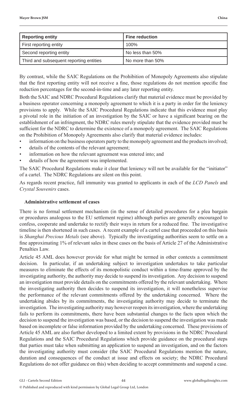| <b>Reporting entity</b>                 | <b>Fine reduction</b> |
|-----------------------------------------|-----------------------|
| First reporting entity                  | 100%                  |
| Second reporting entity                 | No less than 50%      |
| Third and subsequent reporting entities | No more than 50%      |

By contrast, while the SAIC Regulations on the Prohibition of Monopoly Agreements also stipulate that the first reporting entity will not receive a fine, those regulations do not mention specific fine reduction percentages for the second-in-time and any later reporting entity.

Both the SAIC and NDRC Procedural Regulations clarify that material evidence must be provided by a business operator concerning a monopoly agreement to which it is a party in order for the leniency provisions to apply. While the SAIC Procedural Regulations indicate that this evidence must play a pivotal role in the initiation of an investigation by the SAIC or have a significant bearing on the establishment of an infringment, the NDRC rules merely stipulate that the evidence provided must be sufficient for the NDRC to determine the existence of a monopoly agreement. The SAIC Regulations on the Prohibition of Monopoly Agreements also clarify that material evidence includes:

- information on the business operators party to the monopoly agreement and the products involved;
- details of the contents of the relevant agreement;
- information on how the relevant agreement was entered into; and
- details of how the agreement was implemented.

The SAIC Procedural Regulations make it clear that leniency will not be available for the "initiator" of a cartel. The NDRC Regulations are silent on this point.

As regards recent practice, full immunity was granted to applicants in each of the *LCD Panels* and *Crystal Souvenirs* cases.

#### **Administrative settlement of cases**

There is no formal settlement mechanism (in the sense of detailed procedures for a plea bargain or procedures analogous to the EU settlement regime) although parties are generally encouraged to confess, cooperate and undertake to rectify their ways in return for a reduced fine. The investigative timeline is then shortened in such cases. A recent example of a cartel case that proceeded on this basis is *Shanghai Precious Metals* (see above). Typically the investigating authorities seem to settle on a fine approximating 1% of relevant sales in these cases on the basis of Article 27 of the Administrative Penalties Law.

Article 45 AML does however provide for what might be termed in other contexts a commitment decision. In particular, if an undertaking subject to investigation undertakes to take particular measures to eliminate the effects of its monopolistic conduct within a time-frame approved by the investigating authority, the authority may decide to suspend its investigation. Any decision to suspend an investigation must provide details on the commitments offered by the relevant undertaking. Where the investigating authority then decides to suspend its investigation, it will nonetheless supervise the performance of the relevant commitments offered by the undertaking concerned. Where the undertaking abides by its commitments, the investigating authority may decide to terminate the investigation. The investigating authority may however reopen its investigation, where the undertaking fails to perform its commitments, there have been substantial changes to the facts upon which the decision to suspend the investigation was based, or the decision to suspend the investigation was made based on incomplete or false information provided by the undertaking concerned. These provisions of Article 45 AML are also further developed to a limited extent by provisions in the NDRC Procedural Regulations and the SAIC Procedural Regulations which provide guidance on the procedural steps that parties must take when submitting an application to suspend an investigation, and on the factors the investigating authority must consider (the SAIC Procedural Regulations mention the nature, duration and consequences of the conduct at issue and effects on society; the NDRC Procedural Regulations do not offer guidance on this) when deciding to accept commitments and suspend a case.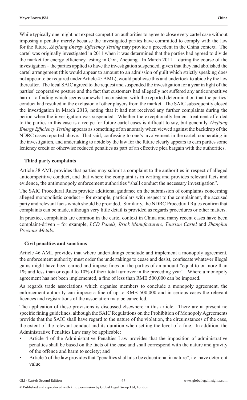While typically one might not expect competition authorities to agree to close every cartel case without imposing a penalty merely because the investigated parties have committed to comply with the law for the future, *Zhejiang Energy Efficiency Testing* may provide a precedent in the China context. The cartel was originally investigated in 2011 when it was determined that the parties had agreed to divide the market for energy efficiency testing in Cixi, Zhejiang. In March  $2011 -$  during the course of the investigation – the parties applied to have the investigation suspended, given that they had abolished the cartel arrangement (this would appear to amount to an admission of guilt which strictly speaking does not appear to be required under Article 45 AML), would publicise this and undertook to abide by the law thereafter. The local SAIC agreed to the request and suspended the investigation for a year in light of the parties' cooperative posture and the fact that customers had allegedly not suffered any anticompetitive harm – a finding which seems somewhat inconsistent with the reported determination that the parties' conduct had resulted in the exclusion of other players from the market. The SAIC subsequently closed the investigation in March 2013, noting that it had not received any further complaints during the period when the investigation was suspended. Whether the exceptionally lenient treatment afforded to the parties in this case is a recipe for future cartel cases is difficult to say, but generally *Zhejiang Energy Efficiency Testing* appears as something of an anomaly when viewed against the backdrop of the NDRC cases reported above. That said, confessing to one's involvement in the cartel, cooperating in the investigation, and undertaking to abide by the law for the future clearly appears to earn parties some leniency credit or otherwise reduced penalties as part of an effective plea bargain with the authorities.

#### **Third party complaints**

Article 38 AML provides that parties may submit a complaint to the authorities in respect of alleged anticompetitive conduct, and that where the complaint is in writing and provides relevant facts and evidence, the antimonopoly enforcement authorities "shall conduct the necessary investigation".

The SAIC Procedural Rules provide additional guidance on the submission of complaints concerning alleged monopolistic conduct – for example, particulars with respect to the complainant, the accused party and relevant facts which should be provided. Similarly, the NDRC Procedural Rules confirm that complaints can be made, although very little detail is provided as regards procedures or other matters.

In practice, complaints are common in the cartel context in China and many recent cases have been complaint-driven – for example, *LCD Panels, Brick Manufacturers, Tourism Cartel* and *Shanghai Precious Metals*.

#### **Civil penalties and sanctions**

Article 46 AML provides that where undertakings conclude and implement a monopoly agreement, the enforcement authority must order the undertakings to cease and desist, confiscate whatever illegal gains might have been earned and impose fines on the parties of an amount "equal to or more than 1% and less than or equal to 10% of their total turnover in the preceding year". Where a monopoly agreement has not been implemented, a fine of less than RMB 500,000 can be imposed.

As regards trade associations which organise members to conclude a monopoly agreement, the enforcement authority can impose a fine of up to RMB 500,000 and in serious cases the relevant licences and registrations of the association may be cancelled.

The application of these provisions is discussed elsewhere in this article. There are at present no specific fining guidelines, although the SAIC Regulations on the Prohibition of Monopoly Agreements provide that the SAIC shall have regard to the nature of the violation, the circumstances of the case, the extent of the relevant conduct and its duration when setting the level of a fine. In addition, the Administrative Penalties Law may be applicable:

- Article 4 of the Administrative Penalties Law provides that the imposition of administrative penalties shall be based on the facts of the case and shall correspond with the nature and gravity of the offence and harm to society; and
- Article 5 of the law provides that "penalties shall also be educational in nature", i.e. have deterrent value.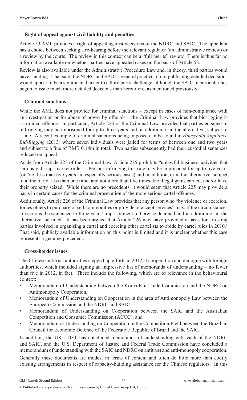#### **Right of appeal against civil liability and penalties**

Article 53 AML provides a right of appeal against decisions of the NDRC and SAIC. The appellant has a choice between seeking a re-hearing before the relevant regulator (an administrative review) or a review by the courts. The review in this context can be a "full merits" review. There is thus far no information available on whether parties have appealed cases on the basis of Article 53.

Review is also available under the Administrative Procedure Law and, in theory, third parties would have standing. That said, the NDRC and SAIC's general practice of not publishing detailed decisions would appear to be a significant barrier to a third party challenge, although the SAIC in particular has begun to issue much more detailed decisions than heretofore, as mentioned previously.

#### **Criminal sanctions**

While the AML does not provide for criminal sanctions – except in cases of non-compliance with an investigation or for abuse of power by officials – the Criminal Law provides that bid-rigging is a criminal offence. In particular, Article 223 of the Criminal Law provides that parties engaged in bid-rigging may be imprisoned for up to three years and, in addition or in the alternative, subject to a fine. A recent example of criminal sanctions being imposed can be found in *Household Appliance Bid-Rigging* (2013) where seven individuals were jailed for terms of between one and two years and subject to a fine of RMB 0.14m in total. Two parties subsequently had their custodial sentences reduced on appeal.

Aside from Article 223 of the Criminal Law, Article 225 prohibits "unlawful business activities that seriously disrupt market order". Persons infringing this rule may be imprisoned for up to five years (or "not less than five years" in especially serious cases) and in addition, or in the alternative, subject to a fine of not less than one time, and not more than five times, the illegal gains earned, and/or have their property seized. While there are no precedents, it would seem that Article 225 may provide a basis in certain cases for the criminal prosecution of the more serious cartel offences.

Additionally, Article 226 of the Criminal Law provides that any person who "by violence or coercion, forces others to purchase or sell commodities or provide or accept services" may, if the circumstances are serious, be sentenced to three years' imprisonment, otherwise detained and in addition or in the alternative, be fined. It has been argued that Article 226 may have provided a basis for arresting parties involved in organising a cartel and coercing other cartelists to abide by cartel rules in 2010.<sup>1</sup> That said, publicly available information on this point is limited and it is unclear whether this case represents a genuine precedent.

#### **Cross-border issues**

The Chinese antitrust authorities stepped up efforts in 2012 at cooperation and dialogue with foreign authorities, which included signing an impressive list of memoranda of understanding – no fewer than five in 2012, in fact. These include the following, which are of relevance in the behavioural context:

- Memorandum of Understanding between the Korea Fair Trade Commission and the NDRC on Antimonopoly Cooperation;
- Memorandum of Understanding on Cooperation in the area of Antimonopoly Law between the European Commission and the NDRC and SAIC;
- Memorandum of Understanding on Cooperation between the SAIC and the Australian Competition and Consumer Commission (ACCC); and
- Memorandum of Understanding on Cooperation in the Competition Field between the Brazilian Council for Economic Defence of the Federative Republic of Brazil and the SAIC.

In addition, the UK's OFT has concluded memoranda of understanding with each of the NDRC and SAIC, and the U.S. Department of Justice and Federal Trade Commission have concluded a memorandum of understanding with the SAIC and NDRC on antitrust and anti-monopoly cooperation.

Generally these documents are modest in terms of content and often do little more than codify existing arrangements in respect of capacity-building assistance for the Chinese regulators. In this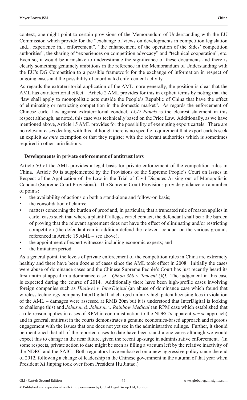context, one might point to certain provisions of the Memorandum of Understanding with the EU Commission which provide for the "exchange of views on developments in competition legislation and... experience in... enforcement", "the enhancement of the operation of the Sides' competition authorities", the sharing of "experiences on competition advocacy" and "technical cooperation", etc. Even so, it would be a mistake to underestimate the significance of these documents and there is clearly something genuinely ambitious in the reference in the Memorandum of Understanding with the EU's DG Competition to a possible framework for the exchange of information in respect of ongoing cases and the possibility of coordinated enforcement activity.

As regards the extraterritorial application of the AML more generally, the position is clear that the AML has extraterritorial effect – Article 2 AML provides for this in explicit terms by noting that the "law shall apply to monopolistic acts outside the People's Republic of China that have the effect of eliminating or restricting competition in the domestic market". As regards the enforcement of Chinese cartel law against extraterritorial conduct, *LCD Panels* is the clearest statement in this respect although, as noted, this case was technically based on the Price Law. Additionally, as we have mentioned above, Article 15 AML provides for the possibility of exempting export cartels. There are no relevant cases dealing with this, although there is no specific requirement that export cartels seek an explicit *ex ante* exemption or that they register with the relevant authorities which is sometimes required in other jurisdictions.

#### **Developments in private enforcement of antitrust laws**

Article 50 of the AML provides a legal basis for private enforcement of the competition rules in China. Article 50 is supplemented by the Provisions of the Supreme People's Court on Issues in Respect of the Application of the Law in the Trial of Civil Disputes Arising out of Monopolistic Conduct (Supreme Court Provisions). The Supreme Court Provisions provide guidance on a number of points:

- the availability of actions on both a stand-alone and follow-on basis;
- the consolidation of claims:
- matters concerning the burden of proof and, in particular, that a truncated rule of reason applies in cartel cases such that where a plaintiff alleges cartel contact, the defendant shall bear the burden of proving that the relevant agreement does not have the effect of eliminating and/or restricting competition (the defendant can in addition defend the relevent conduct on the various grounds referenced in Article 15 AML – see above);
- the appointment of expert witnesses including economic experts; and
- the limitation period.

As a general point, the levels of private enforcement of the competition rules in China are extremely healthy and there have been dozens of cases since the AML took effect in 2008. Initially the cases were abuse of dominance cases and the Chinese Supreme People's Court has just recently heard its first antitrust appeal in a dominance case – *Qihoo 360 v. Tencent QQ*. The judgement in this case is expected during the course of 2014. Additionally there have been high-profile cases involving foreign companies such as *Huaiwei v. InterDigital* (an abuse of dominance case which found that wireless technology company InterDigital had charged unfairly high patent licensing fees in violation of the AML – damages were assessed at RMB 20m but it is understood that InterDigital is looking to challenge this) and *Johnson & Johnson v. Rainbow Medical* (an RPM case which established that a rule reason applies in cases of RPM in contradistinction to the NDRC's apparent *per se* approach) and in general, antitrust in the courts demonstrates a genuine economics-based approach and rigorous engagement with the issues that one does not yet see in the administrative rulings. Further, it should be mentioned that all of the reported cases to date have been stand-alone cases although we would expect this to change in the near future, given the recent up-surge in administrative enforcement. (In some respects, private action to date might be seen as filling a vacuum left by the relative inactivity of the NDRC and the SAIC. Both regulators have embarked on a new aggressive policy since the end of 2012, following a change of leadership in the Chinese government in the autumn of that year when President Xi Jinping took over from President Hu Jintao.)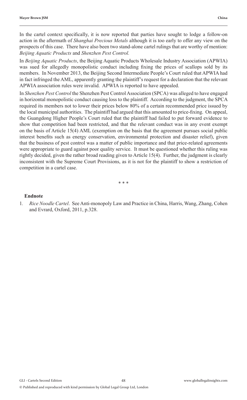In the cartel context specifically, it is now reported that parties have sought to lodge a follow-on action in the aftermath of *Shanghai Precious Metals* although it is too early to offer any view on the prospects of this case. There have also been two stand-alone cartel rulings that are worthy of mention: *Beijing Aquatic Products* and *Shenzhen Pest Control.*

In *Beijing Aquatic Products*, the Beijing Aquatic Products Wholesale Industry Association (APWIA) was sued for allegedly monopolistic conduct including fixing the prices of scallops sold by its members. In November 2013, the Beijing Second Intermediate People's Court ruled that APWIA had in fact infringed the AML, apparently granting the plaintiff's request for a declaration that the relevant APWIA association rules were invalid. APWIA is reported to have appealed.

In *Shenzhen Pest Control* the Shenzhen Pest Control Association (SPCA) was alleged to have engaged in horizontal monopolistic conduct causing loss to the plaintiff. According to the judgment, the SPCA required its members not to lower their prices below 80% of a certain recommended price issued by the local municipal authorities. The plaintiff had argued that this amounted to price-fixing. On appeal, the Guangdong Higher People's Court ruled that the plaintiff had failed to put forward evidence to show that competition had been restricted, and that the relevant conduct was in any event exempt on the basis of Article 15(4) AML (exemption on the basis that the agreement pursues social public interest benefits such as energy conservation, environmental protection and disaster relief), given that the business of pest control was a matter of public importance and that price-related agreements were appropriate to guard against poor quality service. It must be questioned whether this ruling was rightly decided, given the rather broad reading given to Article 15(4). Further, the judgment is clearly inconsistent with the Supreme Court Provisions, as it is not for the plaintiff to show a restriction of competition in a cartel case.

\* \* \*

#### **Endnote**

1*. Rice Noodle Cartel*. See Anti-monopoly Law and Practice in China, Harris, Wang, Zhang, Cohen and Evrard, Oxford, 2011, p.328.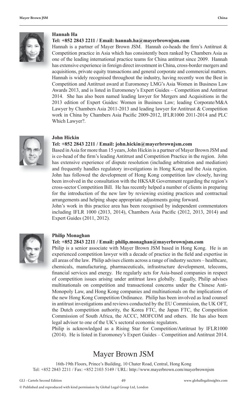

#### **Hannah Ha**

#### **Tel: +852 2843 2211 / Email: hannah.ha@mayerbrownjsm.com**

Hannah is a partner of Mayer Brown JSM. Hannah co-heads the firm's Antitrust  $\&$ Competition practice in Asia which has consistently been ranked by Chambers Asia as one of the leading international practice teams for China antitrust since 2009. Hannah has extensive experience in foreign direct investment in China, cross-border mergers and acquisitions, private equity transactions and general corporate and commercial matters. Hannah is widely recognised throughout the industry, having recently won the Best in Competition and Antitrust award at Euromoney LMG's Asia Women in Business Law Awards 2013, and is listed in Euromoney's Expert Guides – Competition and Antitrust 2014. She has also been named leading lawyer for Mergers and Acquisitions in the 2013 edition of Expert Guides: Women in Business Law; leading Corporate/M&A Lawyer by Chambers Asia 2011-2013 and leading lawyer for Antitrust & Competition work in China by Chambers Asia Pacific 2009-2012, IFLR1000 2011-2014 and PLC Which Lawyer?.



#### **John Hickin**

#### **Tel: +852 2843 2211 / Email: john.hickin@mayerbrownjsm.com**

Based in Asia for more than 15 years, John Hickin is a partner of Mayer Brown JSM and is co-head of the firm's leading Antitrust and Competition Practice in the region. John has extensive experience of dispute resolution (including arbitration and mediation) and frequently handles regulatory investigations in Hong Kong and the Asia region. John has followed the development of Hong Kong competition law closely, having been involved in the consultation with the HKSAR Government regarding the region's cross-sector Competition Bill. He has recently helped a number of clients in preparing for the introduction of the new law by reviewing existing practices and contractual arrangements and helping shape appropriate adjustments going forward.

John's work in this practice area has been recognised by independent commentators including IFLR 1000 (2013, 2014), Chambers Asia Pacific (2012, 2013, 2014) and Expert Guides (2011, 2012).



#### **Philip Monaghan**

#### **Tel: +852 2843 2211 / Email: philip.monaghan@mayerbrownjsm.com**

Philip is a senior associate with Mayer Brown JSM based in Hong Kong. He is an experienced competition lawyer with a decade of practice in the field and expertise in all areas of the law. Philip advises clients across a range of industry sectors – healthcare, chemicals, manufacturing, pharmaceuticals, infrastructure development, telecoms, financial services and energy. He regularly acts for Asia-based companies in respect of competition issues arising under antitrust laws globally. Equally, Philip advises multinationals on competition and transactional concerns under the Chinese Anti-Monopoly Law, and Hong Kong companies and multinationals on the implications of the new Hong Kong Competition Ordinance. Philip has been involved as lead counsel in antitrust investigations and reviews conducted by the EU Commission, the UK OFT, the Dutch competition authority, the Korea FTC, the Japan FTC, the Competition Commission of South Africa, the ACCC, MOFCOM and others. He has also been legal advisor to one of the UK's sectoral economic regulators.

Philip is acknowledged as a Rising Star for Competition/Antitrust by IFLR1000 (2014). He is listed in Euromoney's Expert Guides – Competition and Antitrust 2014.

## Mayer Brown JSM

16th-19th Floors, Prince's Building, 10 Chater Road, Central, Hong Kong Tel: +852 2843 2211 / Fax: +852 2103 5149 / URL: http://www.mayerbrown.com/mayerbrownjsm

© Published and reproduced with kind permission by Global Legal Group Ltd, London